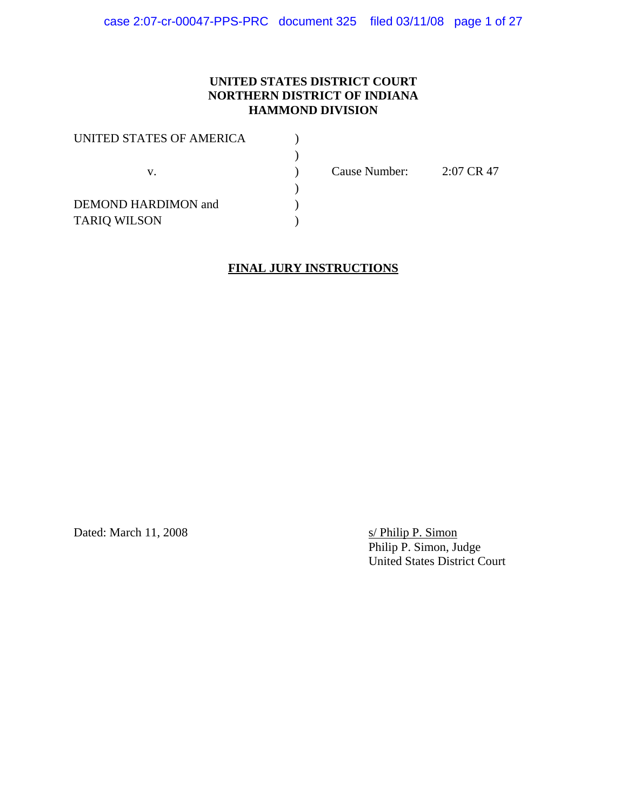## **UNITED STATES DISTRICT COURT NORTHERN DISTRICT OF INDIANA HAMMOND DIVISION**

| UNITED STATES OF AMERICA |               |            |
|--------------------------|---------------|------------|
|                          |               |            |
| V.                       | Cause Number: | 2:07 CR 47 |
|                          |               |            |
| DEMOND HARDIMON and      |               |            |
| <b>TARIQ WILSON</b>      |               |            |

## **FINAL JURY INSTRUCTIONS**

Dated: March 11, 2008

s/ Philip P. Simon<br>Philip P. Simon, Judge United States District Court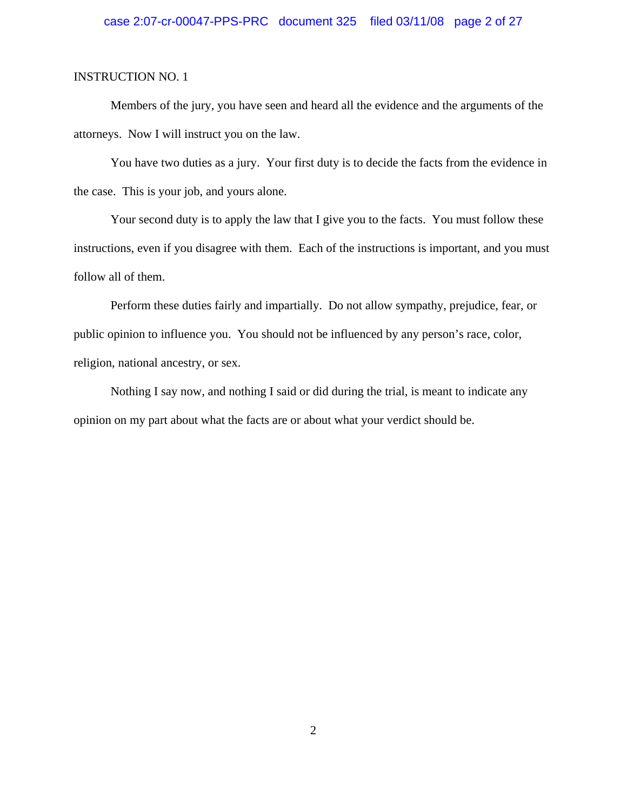## case 2:07-cr-00047-PPS-PRC document 325 filed 03/11/08 page 2 of 27

#### INSTRUCTION NO. 1

Members of the jury, you have seen and heard all the evidence and the arguments of the attorneys. Now I will instruct you on the law.

You have two duties as a jury. Your first duty is to decide the facts from the evidence in the case. This is your job, and yours alone.

Your second duty is to apply the law that I give you to the facts. You must follow these instructions, even if you disagree with them. Each of the instructions is important, and you must follow all of them.

Perform these duties fairly and impartially. Do not allow sympathy, prejudice, fear, or public opinion to influence you. You should not be influenced by any person's race, color, religion, national ancestry, or sex.

Nothing I say now, and nothing I said or did during the trial, is meant to indicate any opinion on my part about what the facts are or about what your verdict should be.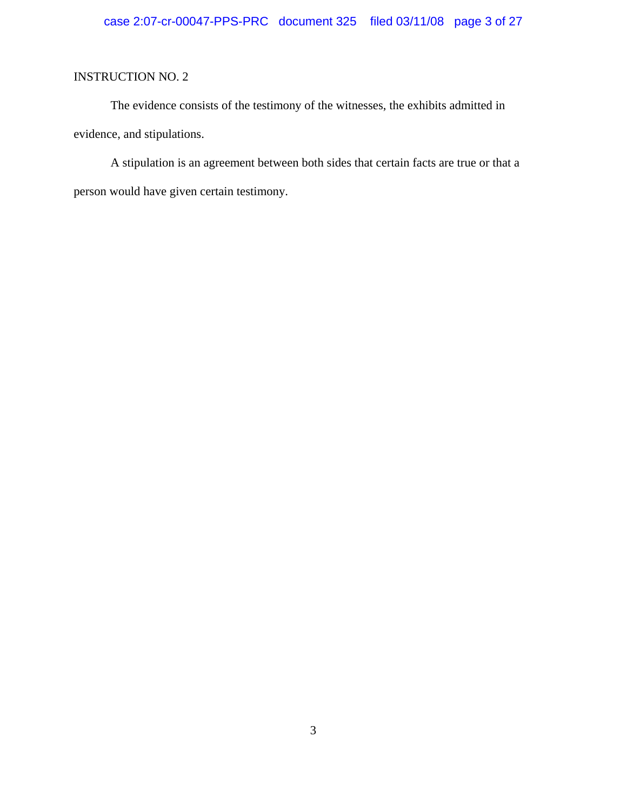The evidence consists of the testimony of the witnesses, the exhibits admitted in evidence, and stipulations.

A stipulation is an agreement between both sides that certain facts are true or that a person would have given certain testimony.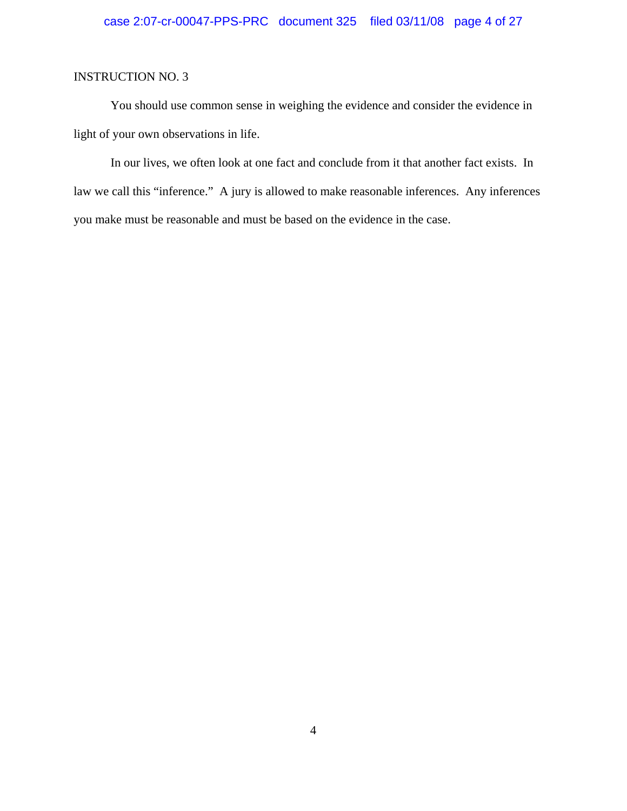You should use common sense in weighing the evidence and consider the evidence in light of your own observations in life.

In our lives, we often look at one fact and conclude from it that another fact exists. In law we call this "inference." A jury is allowed to make reasonable inferences. Any inferences you make must be reasonable and must be based on the evidence in the case.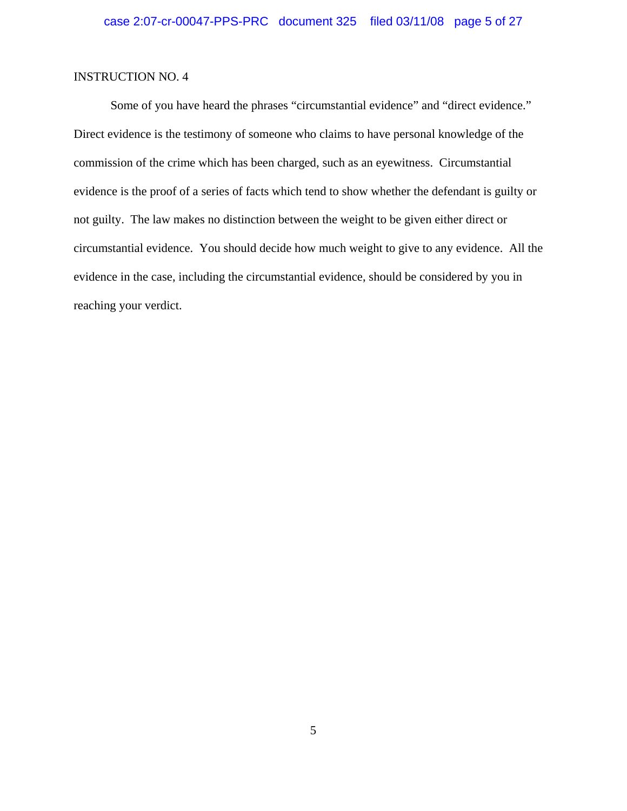Some of you have heard the phrases "circumstantial evidence" and "direct evidence." Direct evidence is the testimony of someone who claims to have personal knowledge of the commission of the crime which has been charged, such as an eyewitness. Circumstantial evidence is the proof of a series of facts which tend to show whether the defendant is guilty or not guilty. The law makes no distinction between the weight to be given either direct or circumstantial evidence. You should decide how much weight to give to any evidence. All the evidence in the case, including the circumstantial evidence, should be considered by you in reaching your verdict.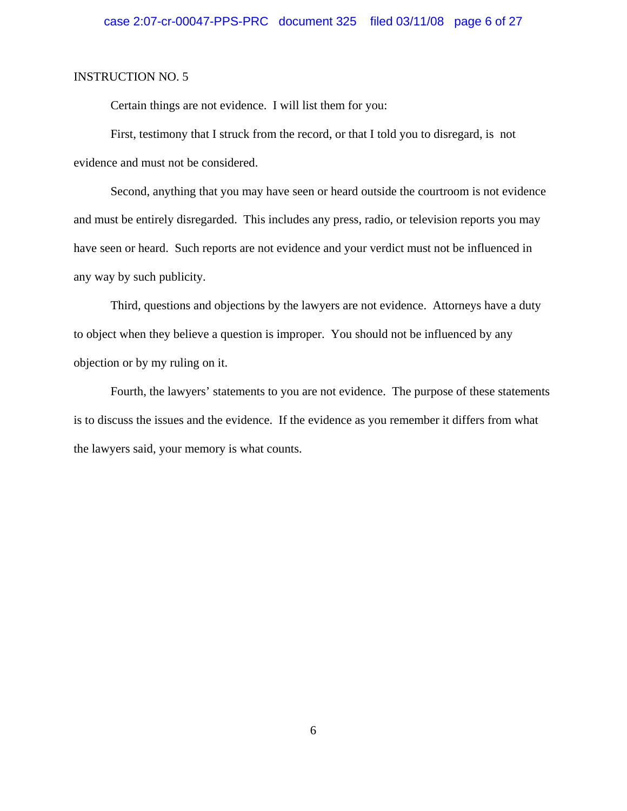Certain things are not evidence. I will list them for you:

First, testimony that I struck from the record, or that I told you to disregard, is not evidence and must not be considered.

Second, anything that you may have seen or heard outside the courtroom is not evidence and must be entirely disregarded. This includes any press, radio, or television reports you may have seen or heard. Such reports are not evidence and your verdict must not be influenced in any way by such publicity.

Third, questions and objections by the lawyers are not evidence. Attorneys have a duty to object when they believe a question is improper. You should not be influenced by any objection or by my ruling on it.

Fourth, the lawyers' statements to you are not evidence. The purpose of these statements is to discuss the issues and the evidence. If the evidence as you remember it differs from what the lawyers said, your memory is what counts.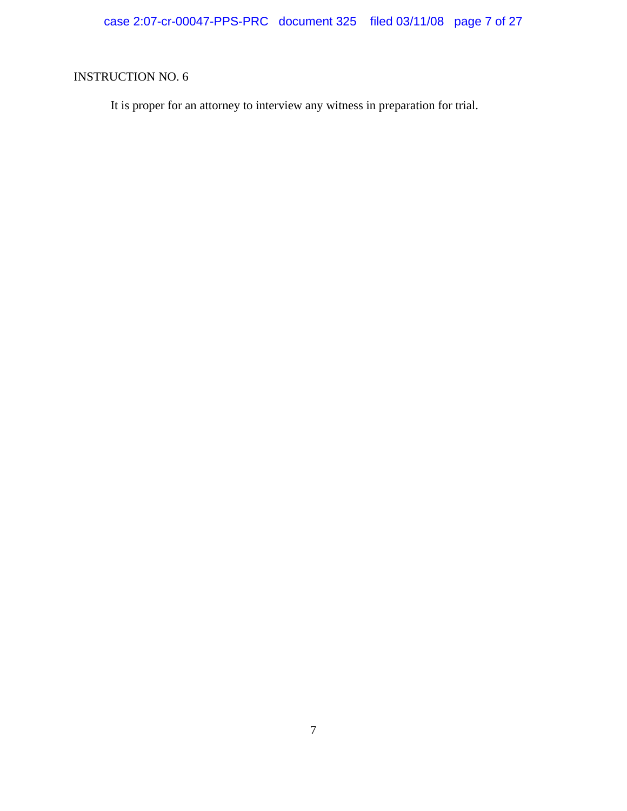It is proper for an attorney to interview any witness in preparation for trial.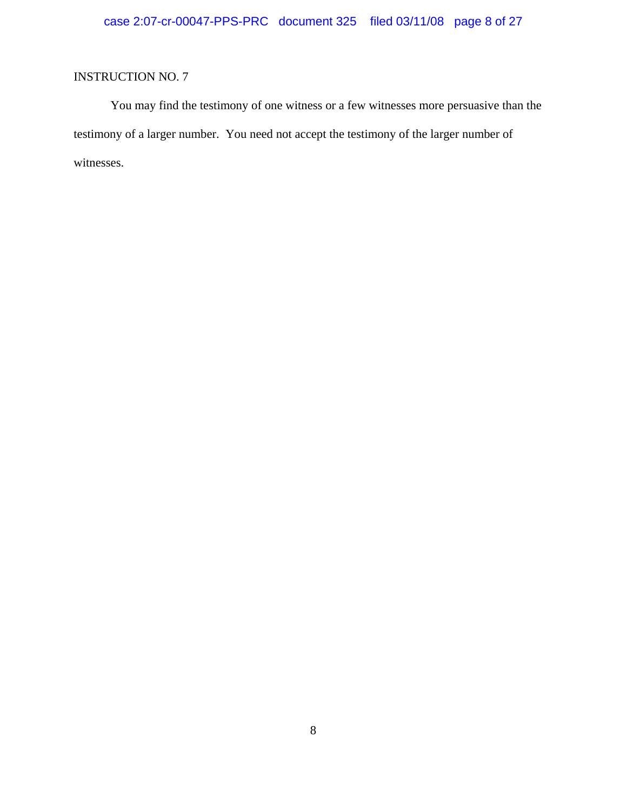You may find the testimony of one witness or a few witnesses more persuasive than the testimony of a larger number. You need not accept the testimony of the larger number of witnesses.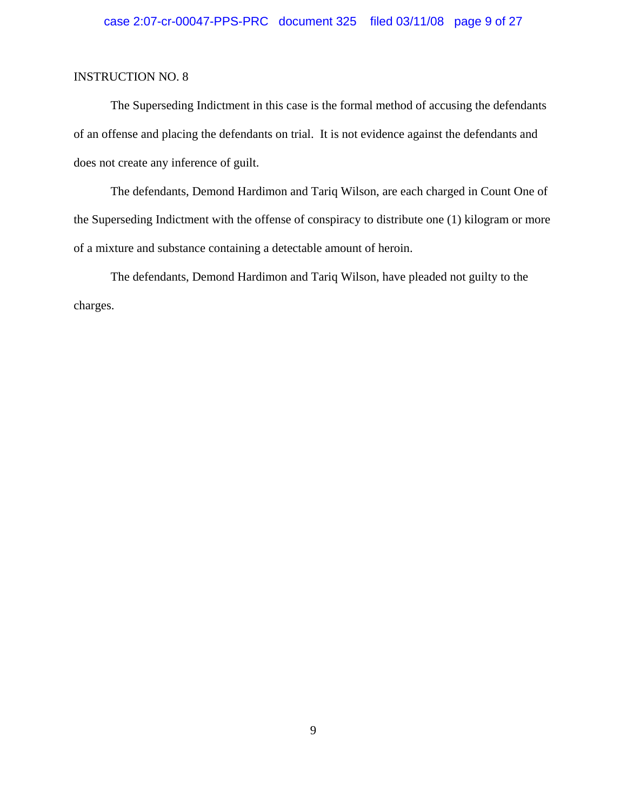The Superseding Indictment in this case is the formal method of accusing the defendants of an offense and placing the defendants on trial. It is not evidence against the defendants and does not create any inference of guilt.

The defendants, Demond Hardimon and Tariq Wilson, are each charged in Count One of the Superseding Indictment with the offense of conspiracy to distribute one (1) kilogram or more of a mixture and substance containing a detectable amount of heroin.

The defendants, Demond Hardimon and Tariq Wilson, have pleaded not guilty to the charges.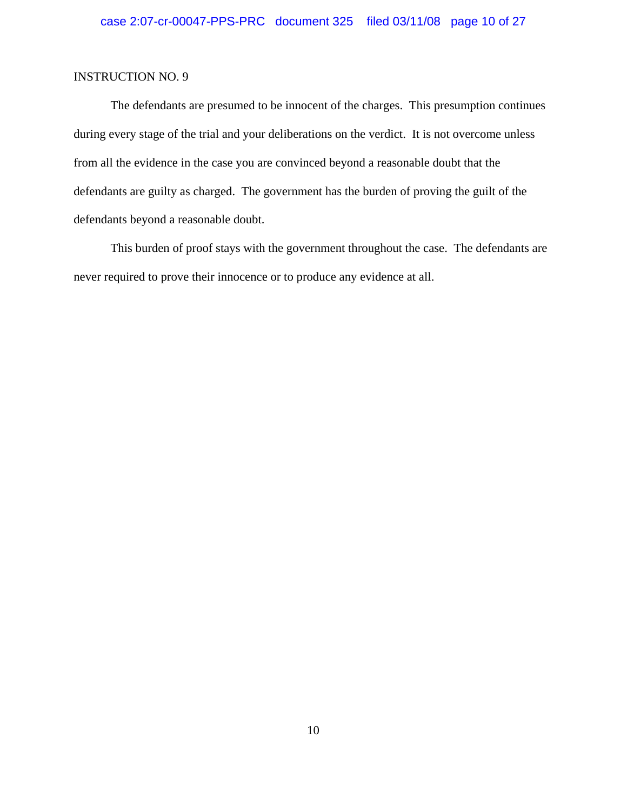The defendants are presumed to be innocent of the charges. This presumption continues during every stage of the trial and your deliberations on the verdict. It is not overcome unless from all the evidence in the case you are convinced beyond a reasonable doubt that the defendants are guilty as charged. The government has the burden of proving the guilt of the defendants beyond a reasonable doubt.

This burden of proof stays with the government throughout the case. The defendants are never required to prove their innocence or to produce any evidence at all.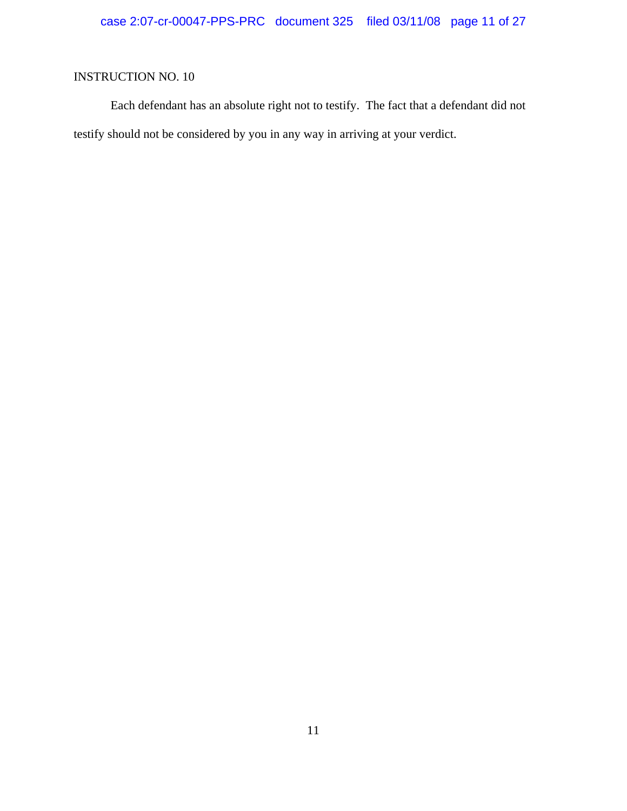Each defendant has an absolute right not to testify. The fact that a defendant did not testify should not be considered by you in any way in arriving at your verdict.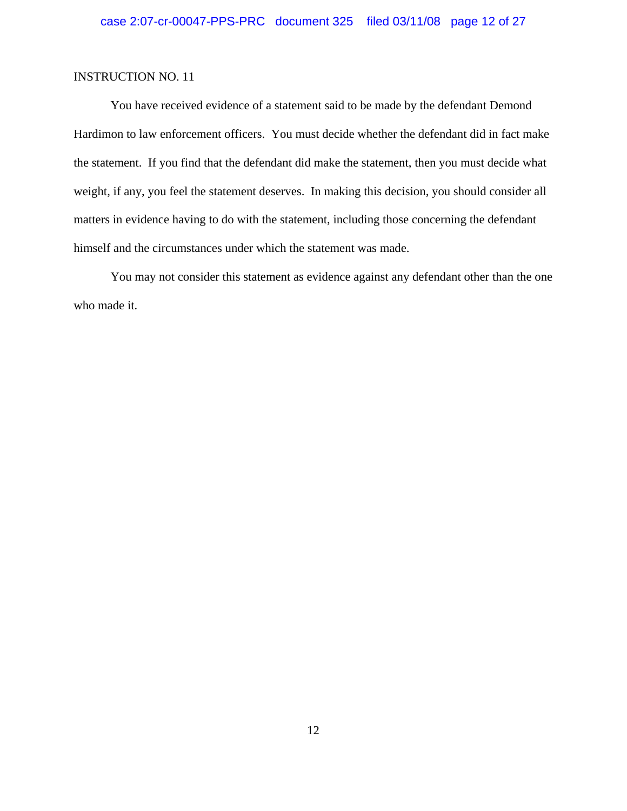You have received evidence of a statement said to be made by the defendant Demond Hardimon to law enforcement officers. You must decide whether the defendant did in fact make the statement. If you find that the defendant did make the statement, then you must decide what weight, if any, you feel the statement deserves. In making this decision, you should consider all matters in evidence having to do with the statement, including those concerning the defendant himself and the circumstances under which the statement was made.

You may not consider this statement as evidence against any defendant other than the one who made it.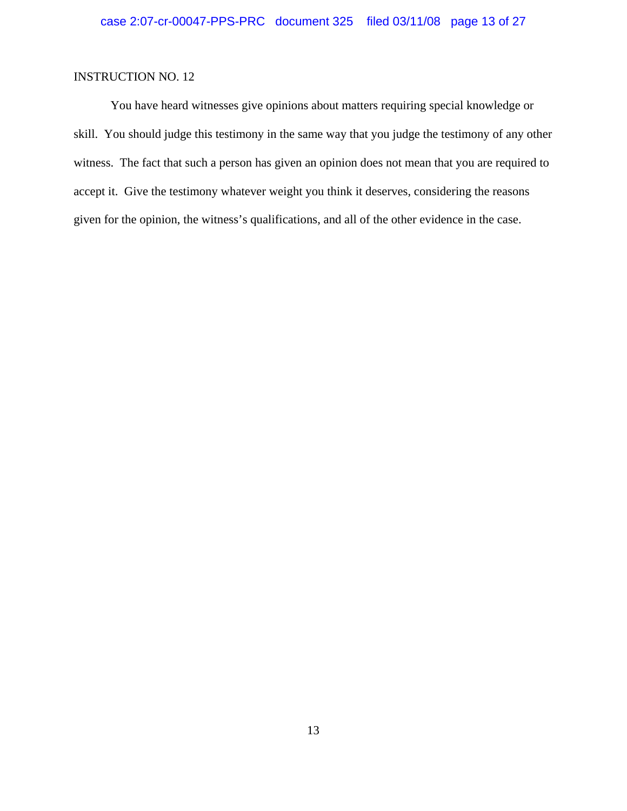You have heard witnesses give opinions about matters requiring special knowledge or skill. You should judge this testimony in the same way that you judge the testimony of any other witness. The fact that such a person has given an opinion does not mean that you are required to accept it. Give the testimony whatever weight you think it deserves, considering the reasons given for the opinion, the witness's qualifications, and all of the other evidence in the case.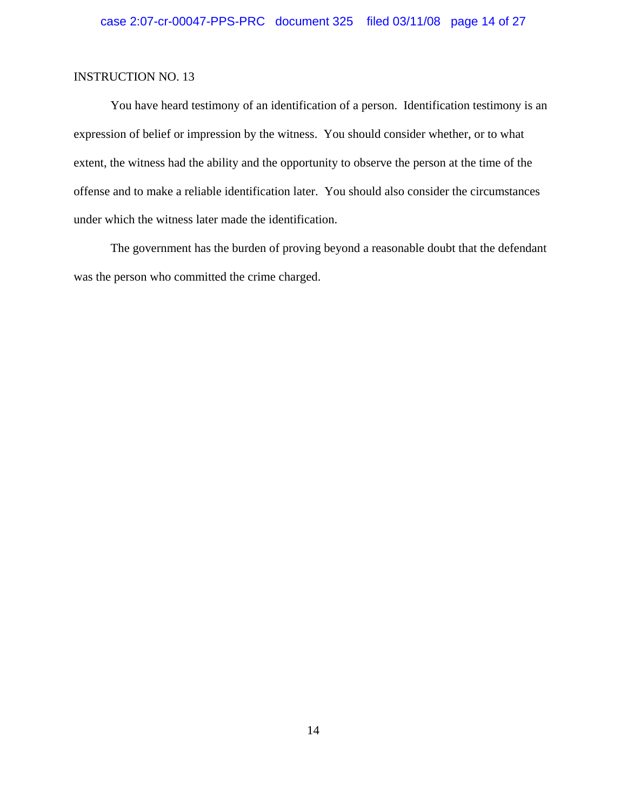You have heard testimony of an identification of a person. Identification testimony is an expression of belief or impression by the witness. You should consider whether, or to what extent, the witness had the ability and the opportunity to observe the person at the time of the offense and to make a reliable identification later. You should also consider the circumstances under which the witness later made the identification.

The government has the burden of proving beyond a reasonable doubt that the defendant was the person who committed the crime charged.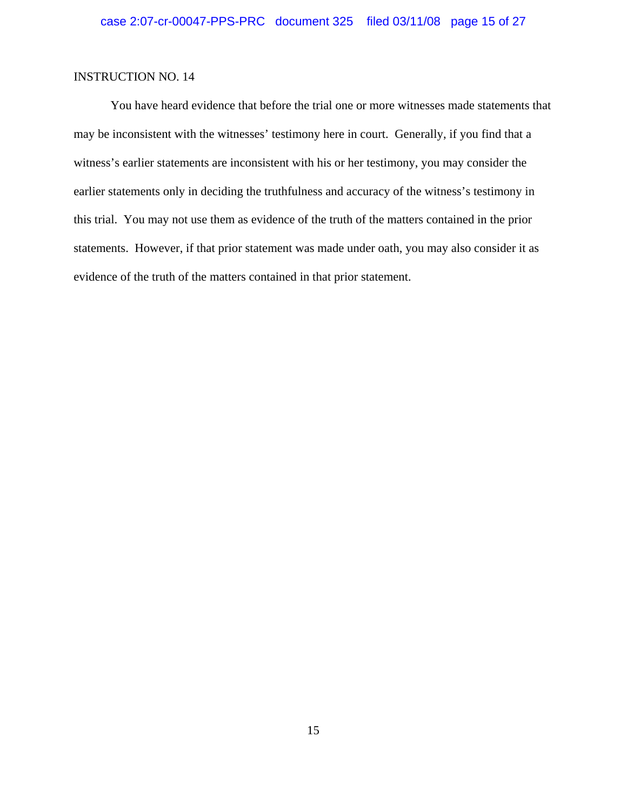You have heard evidence that before the trial one or more witnesses made statements that may be inconsistent with the witnesses' testimony here in court. Generally, if you find that a witness's earlier statements are inconsistent with his or her testimony, you may consider the earlier statements only in deciding the truthfulness and accuracy of the witness's testimony in this trial. You may not use them as evidence of the truth of the matters contained in the prior statements. However, if that prior statement was made under oath, you may also consider it as evidence of the truth of the matters contained in that prior statement.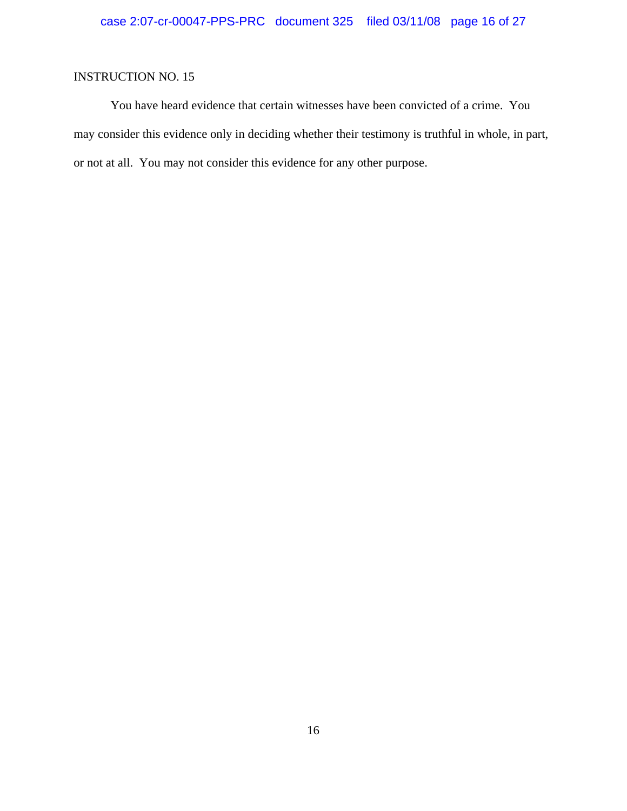You have heard evidence that certain witnesses have been convicted of a crime. You may consider this evidence only in deciding whether their testimony is truthful in whole, in part, or not at all. You may not consider this evidence for any other purpose.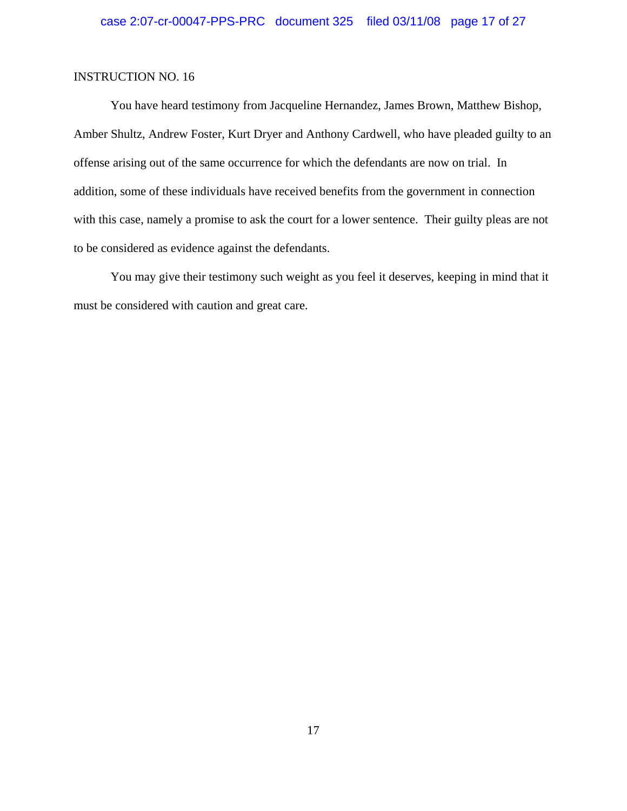You have heard testimony from Jacqueline Hernandez, James Brown, Matthew Bishop, Amber Shultz, Andrew Foster, Kurt Dryer and Anthony Cardwell, who have pleaded guilty to an offense arising out of the same occurrence for which the defendants are now on trial. In addition, some of these individuals have received benefits from the government in connection with this case, namely a promise to ask the court for a lower sentence. Their guilty pleas are not to be considered as evidence against the defendants.

You may give their testimony such weight as you feel it deserves, keeping in mind that it must be considered with caution and great care.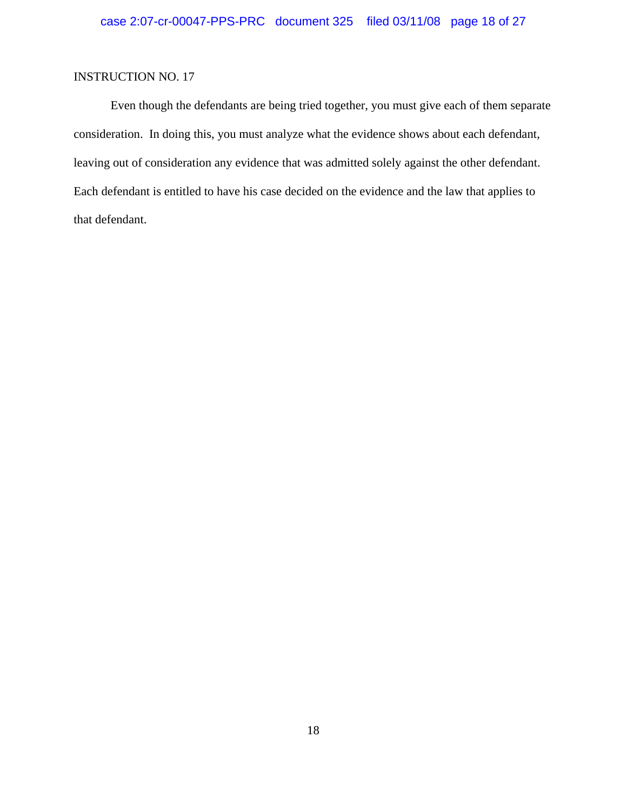Even though the defendants are being tried together, you must give each of them separate consideration. In doing this, you must analyze what the evidence shows about each defendant, leaving out of consideration any evidence that was admitted solely against the other defendant. Each defendant is entitled to have his case decided on the evidence and the law that applies to that defendant.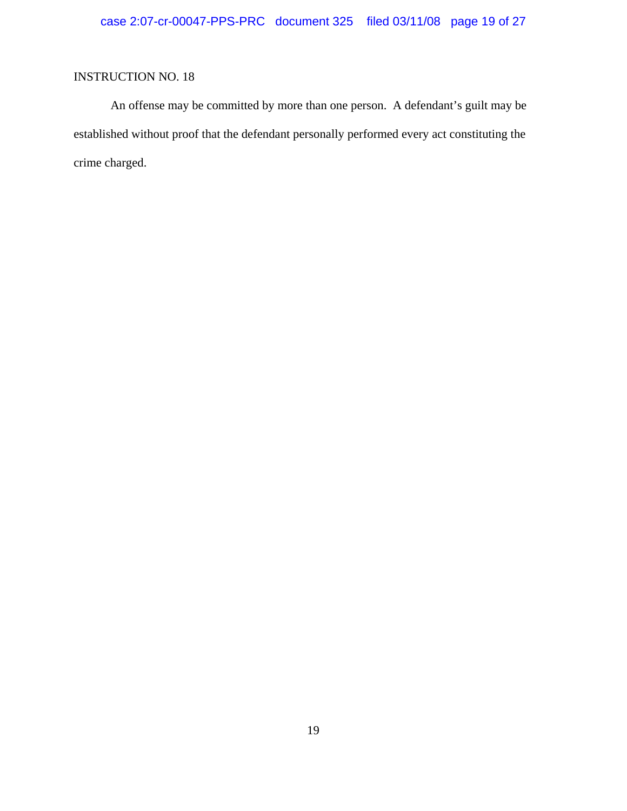An offense may be committed by more than one person. A defendant's guilt may be established without proof that the defendant personally performed every act constituting the crime charged.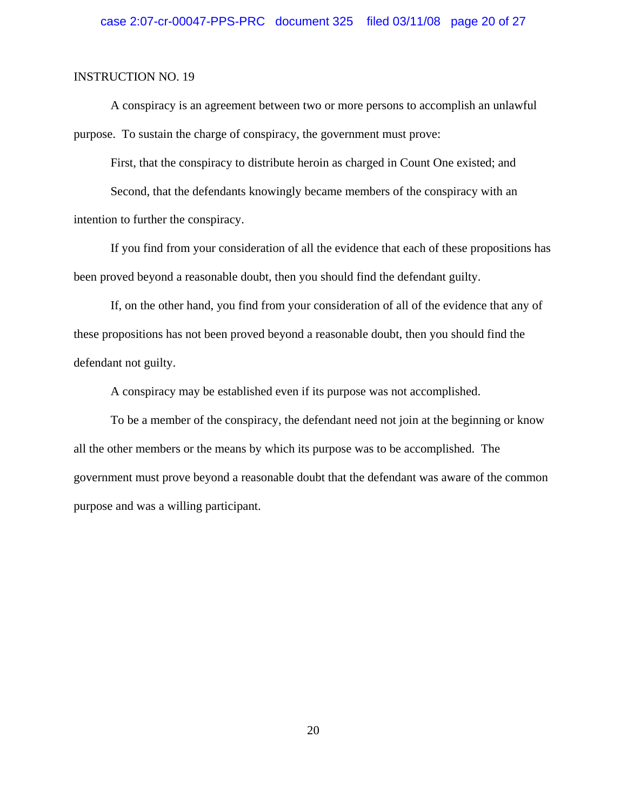A conspiracy is an agreement between two or more persons to accomplish an unlawful purpose. To sustain the charge of conspiracy, the government must prove:

First, that the conspiracy to distribute heroin as charged in Count One existed; and

Second, that the defendants knowingly became members of the conspiracy with an intention to further the conspiracy.

If you find from your consideration of all the evidence that each of these propositions has been proved beyond a reasonable doubt, then you should find the defendant guilty.

If, on the other hand, you find from your consideration of all of the evidence that any of these propositions has not been proved beyond a reasonable doubt, then you should find the defendant not guilty.

A conspiracy may be established even if its purpose was not accomplished.

To be a member of the conspiracy, the defendant need not join at the beginning or know all the other members or the means by which its purpose was to be accomplished. The government must prove beyond a reasonable doubt that the defendant was aware of the common purpose and was a willing participant.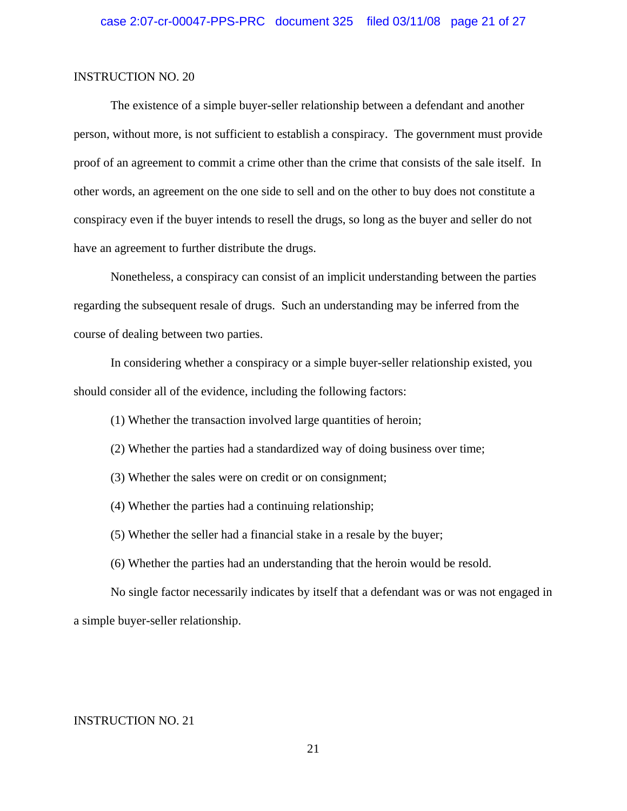The existence of a simple buyer-seller relationship between a defendant and another person, without more, is not sufficient to establish a conspiracy. The government must provide proof of an agreement to commit a crime other than the crime that consists of the sale itself. In other words, an agreement on the one side to sell and on the other to buy does not constitute a conspiracy even if the buyer intends to resell the drugs, so long as the buyer and seller do not have an agreement to further distribute the drugs.

Nonetheless, a conspiracy can consist of an implicit understanding between the parties regarding the subsequent resale of drugs. Such an understanding may be inferred from the course of dealing between two parties.

In considering whether a conspiracy or a simple buyer-seller relationship existed, you should consider all of the evidence, including the following factors:

(1) Whether the transaction involved large quantities of heroin;

- (2) Whether the parties had a standardized way of doing business over time;
- (3) Whether the sales were on credit or on consignment;
- (4) Whether the parties had a continuing relationship;
- (5) Whether the seller had a financial stake in a resale by the buyer;
- (6) Whether the parties had an understanding that the heroin would be resold.

No single factor necessarily indicates by itself that a defendant was or was not engaged in a simple buyer-seller relationship.

### INSTRUCTION NO. 21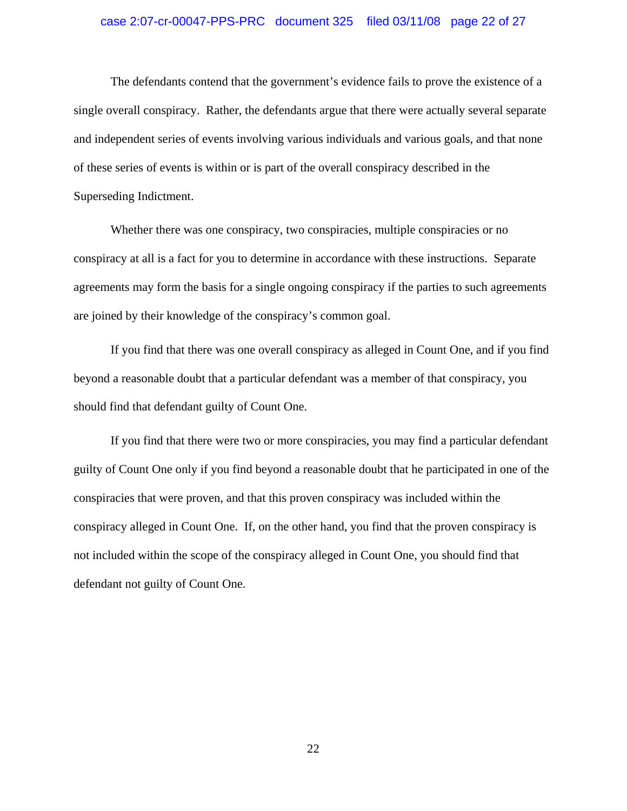#### case 2:07-cr-00047-PPS-PRC document 325 filed 03/11/08 page 22 of 27

The defendants contend that the government's evidence fails to prove the existence of a single overall conspiracy. Rather, the defendants argue that there were actually several separate and independent series of events involving various individuals and various goals, and that none of these series of events is within or is part of the overall conspiracy described in the Superseding Indictment.

Whether there was one conspiracy, two conspiracies, multiple conspiracies or no conspiracy at all is a fact for you to determine in accordance with these instructions. Separate agreements may form the basis for a single ongoing conspiracy if the parties to such agreements are joined by their knowledge of the conspiracy's common goal.

If you find that there was one overall conspiracy as alleged in Count One, and if you find beyond a reasonable doubt that a particular defendant was a member of that conspiracy, you should find that defendant guilty of Count One.

If you find that there were two or more conspiracies, you may find a particular defendant guilty of Count One only if you find beyond a reasonable doubt that he participated in one of the conspiracies that were proven, and that this proven conspiracy was included within the conspiracy alleged in Count One. If, on the other hand, you find that the proven conspiracy is not included within the scope of the conspiracy alleged in Count One, you should find that defendant not guilty of Count One.

22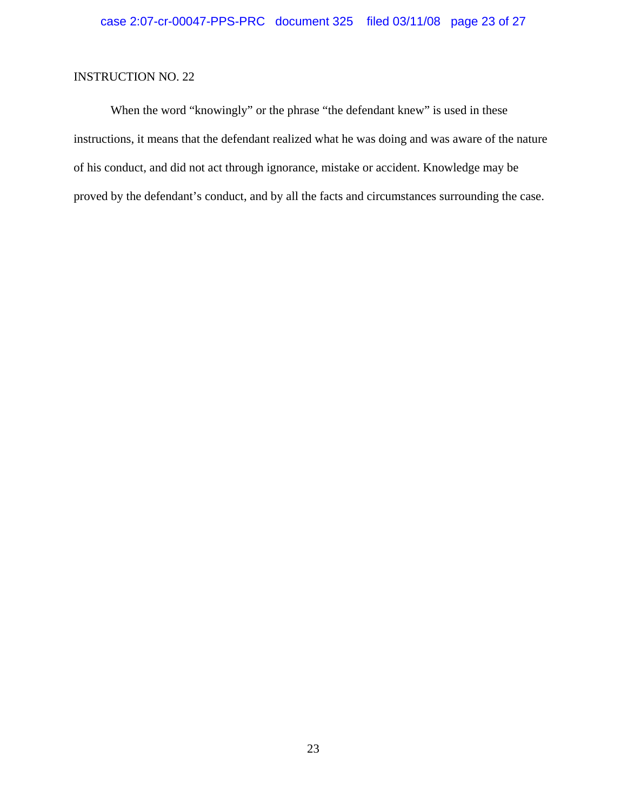When the word "knowingly" or the phrase "the defendant knew" is used in these instructions, it means that the defendant realized what he was doing and was aware of the nature of his conduct, and did not act through ignorance, mistake or accident. Knowledge may be proved by the defendant's conduct, and by all the facts and circumstances surrounding the case.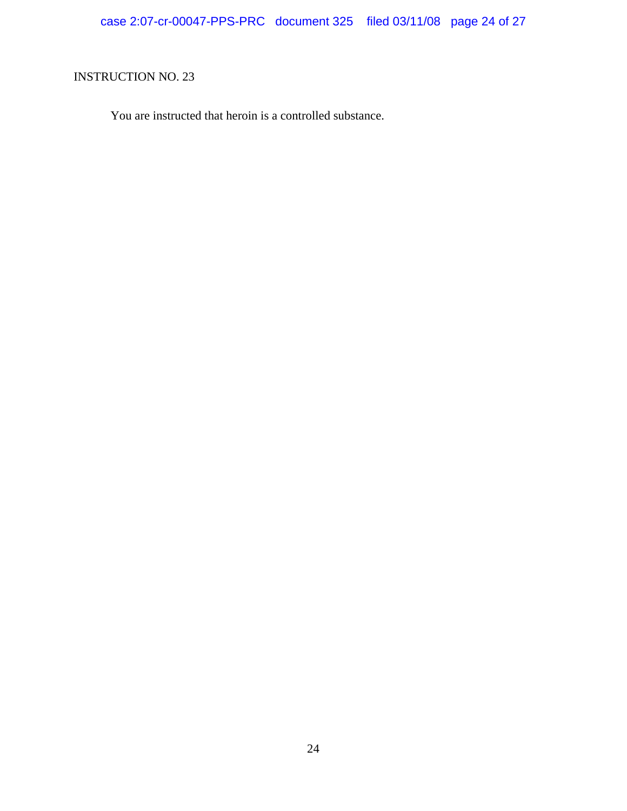You are instructed that heroin is a controlled substance.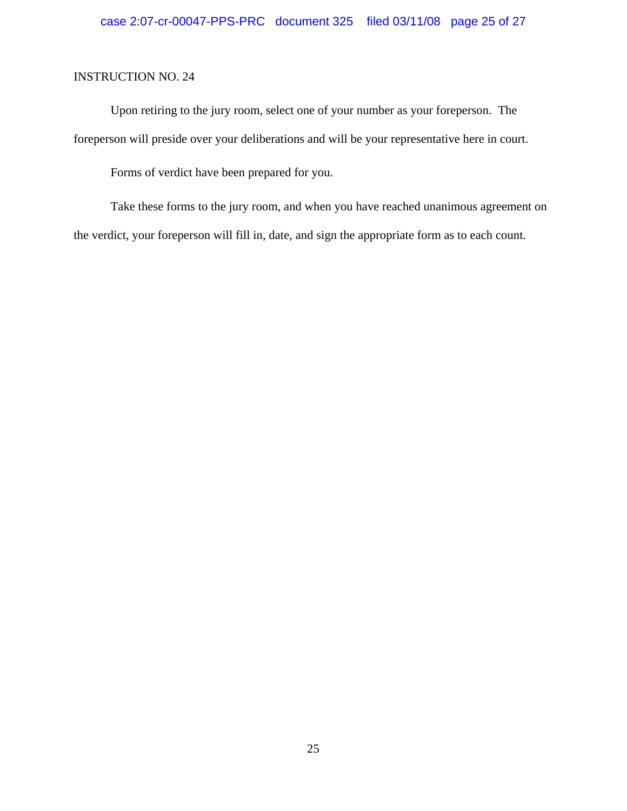Upon retiring to the jury room, select one of your number as your foreperson. The foreperson will preside over your deliberations and will be your representative here in court.

Forms of verdict have been prepared for you.

Take these forms to the jury room, and when you have reached unanimous agreement on the verdict, your foreperson will fill in, date, and sign the appropriate form as to each count.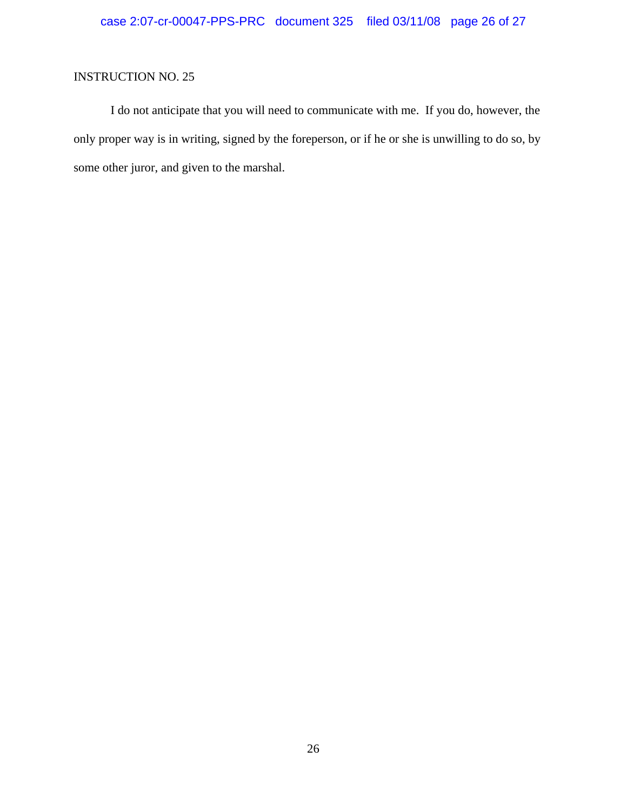I do not anticipate that you will need to communicate with me. If you do, however, the only proper way is in writing, signed by the foreperson, or if he or she is unwilling to do so, by some other juror, and given to the marshal.